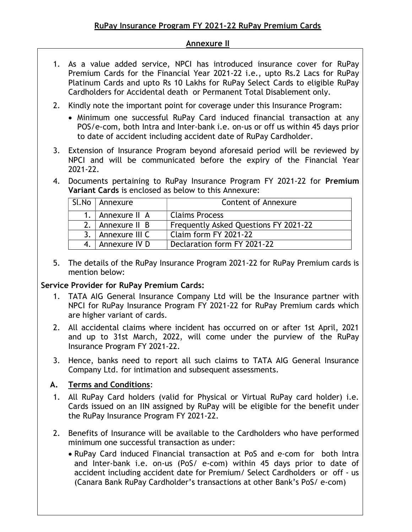#### Annexure II

- 1. As a value added service, NPCI has introduced insurance cover for RuPay Premium Cards for the Financial Year 2021-22 i.e., upto Rs.2 Lacs for RuPay Platinum Cards and upto Rs 10 Lakhs for RuPay Select Cards to eligible RuPay Cardholders for Accidental death or Permanent Total Disablement only.
- 2. Kindly note the important point for coverage under this Insurance Program:
	- Minimum one successful RuPay Card induced financial transaction at any POS/e-com, both Intra and Inter-bank i.e. on-us or off us within 45 days prior to date of accident including accident date of RuPay Cardholder.
- 3. Extension of Insurance Program beyond aforesaid period will be reviewed by NPCI and will be communicated before the expiry of the Financial Year 2021-22.
- 4. Documents pertaining to RuPay Insurance Program FY 2021-22 for Premium Variant Cards is enclosed as below to this Annexure:

|             | Sl.No   Annexure | <b>Content of Annexure</b>            |
|-------------|------------------|---------------------------------------|
| $1_{\cdot}$ | Annexure II A    | <b>Claims Process</b>                 |
| 2.          | Annexure II B    | Frequently Asked Questions FY 2021-22 |
| २           | Annexure III C   | Claim form FY 2021-22                 |
|             | 4. Annexure IV D | Declaration form FY 2021-22           |

5. The details of the RuPay Insurance Program 2021-22 for RuPay Premium cards is mention below:

## Service Provider for RuPay Premium Cards:

- 1. TATA AIG General Insurance Company Ltd will be the Insurance partner with NPCI for RuPay Insurance Program FY 2021-22 for RuPay Premium cards which are higher variant of cards.
- 2. All accidental claims where incident has occurred on or after 1st April, 2021 and up to 31st March, 2022, will come under the purview of the RuPay Insurance Program FY 2021-22.
- 3. Hence, banks need to report all such claims to TATA AIG General Insurance Company Ltd. for intimation and subsequent assessments.

## A. Terms and Conditions:

- 1. All RuPay Card holders (valid for Physical or Virtual RuPay card holder) i.e. Cards issued on an IIN assigned by RuPay will be eligible for the benefit under the RuPay Insurance Program FY 2021-22.
- 2. Benefits of Insurance will be available to the Cardholders who have performed minimum one successful transaction as under:
	- RuPay Card induced Financial transaction at PoS and e-com for both Intra and Inter-bank i.e. on-us (PoS/ e-com) within 45 days prior to date of accident including accident date for Premium/ Select Cardholders or off - us (Canara Bank RuPay Cardholder's transactions at other Bank's PoS/ e-com)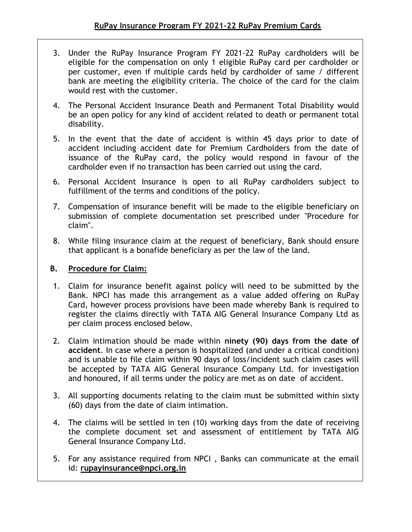- 3. Under the RuPay Insurance Program FY 2021-22 RuPay cardholders will be eligible for the compensation on only 1 eligible RuPay card per cardholder or per customer, even if multiple cards held by cardholder of same / different bank are meeting the eligibility criteria. The choice of the card for the claim would rest with the customer.
- 4. The Personal Accident Insurance Death and Permanent Total Disability would be an open policy for any kind of accident related to death or permanent total disability.
- 5. In the event that the date of accident is within 45 days prior to date of accident including accident date for Premium Cardholders from the date of issuance of the RuPay card, the policy would respond in favour of the cardholder even if no transaction has been carried out using the card.
- 6. Personal Accident Insurance is open to all RuPay cardholders subject to fulfillment of the terms and conditions of the policy.
- 7. Compensation of insurance benefit will be made to the eligible beneficiary on submission of complete documentation set prescribed under "Procedure for claim".
- 8. While filing insurance claim at the request of beneficiary, Bank should ensure that applicant is a bonafide beneficiary as per the law of the land.

# B. Procedure for Claim:

- 1. Claim for insurance benefit against policy will need to be submitted by the Bank. NPCI has made this arrangement as a value added offering on RuPay Card, however process provisions have been made whereby Bank is required to register the claims directly with TATA AIG General Insurance Company Ltd as per claim process enclosed below.
- 2. Claim intimation should be made within ninety (90) days from the date of accident. In case where a person is hospitalized (and under a critical condition) and is unable to file claim within 90 days of loss/incident such claim cases will be accepted by TATA AIG General Insurance Company Ltd. for investigation and honoured, if all terms under the policy are met as on date of accident.
- 3. All supporting documents relating to the claim must be submitted within sixty (60) days from the date of claim intimation.
- 4. The claims will be settled in ten (10) working days from the date of receiving the complete document set and assessment of entitlement by TATA AIG General Insurance Company Ltd.
- 5. For any assistance required from NPCI , Banks can communicate at the email id: rupayinsurance@npci.org.in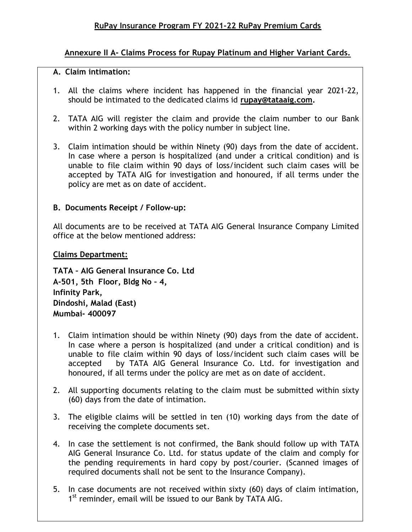## Annexure II A- Claims Process for Rupay Platinum and Higher Variant Cards.

#### A. Claim intimation:

- 1. All the claims where incident has happened in the financial year 2021-22, should be intimated to the dedicated claims id rupay@tataaig.com.
- 2. TATA AIG will register the claim and provide the claim number to our Bank within 2 working days with the policy number in subject line.
- 3. Claim intimation should be within Ninety (90) days from the date of accident. In case where a person is hospitalized (and under a critical condition) and is unable to file claim within 90 days of loss/incident such claim cases will be accepted by TATA AIG for investigation and honoured, if all terms under the policy are met as on date of accident.

## B. Documents Receipt / Follow-up:

All documents are to be received at TATA AIG General Insurance Company Limited office at the below mentioned address:

#### Claims Department:

TATA – AIG General Insurance Co. Ltd A-501, 5th Floor, Bldg No – 4, Infinity Park, Dindoshi, Malad (East) Mumbai- 400097

- 1. Claim intimation should be within Ninety (90) days from the date of accident. In case where a person is hospitalized (and under a critical condition) and is unable to file claim within 90 days of loss/incident such claim cases will be accepted by TATA AIG General Insurance Co. Ltd. for investigation and honoured, if all terms under the policy are met as on date of accident.
- 2. All supporting documents relating to the claim must be submitted within sixty (60) days from the date of intimation.
- 3. The eligible claims will be settled in ten (10) working days from the date of receiving the complete documents set.
- 4. In case the settlement is not confirmed, the Bank should follow up with TATA AIG General Insurance Co. Ltd. for status update of the claim and comply for the pending requirements in hard copy by post/courier. (Scanned images of required documents shall not be sent to the Insurance Company).
- 5. In case documents are not received within sixty (60) days of claim intimation, 1<sup>st</sup> reminder, email will be issued to our Bank by TATA AIG.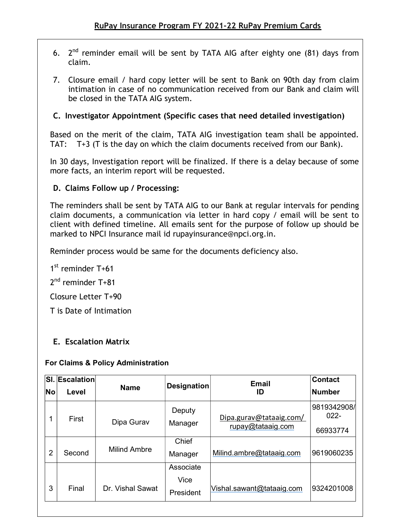- 6.  $2<sup>nd</sup>$  reminder email will be sent by TATA AIG after eighty one (81) days from claim.
- 7. Closure email / hard copy letter will be sent to Bank on 90th day from claim intimation in case of no communication received from our Bank and claim will be closed in the TATA AIG system.

## C. Investigator Appointment (Specific cases that need detailed investigation)

Based on the merit of the claim, TATA AIG investigation team shall be appointed. TAT: T+3 (T is the day on which the claim documents received from our Bank).

In 30 days, Investigation report will be finalized. If there is a delay because of some more facts, an interim report will be requested.

# D. Claims Follow up / Processing:

The reminders shall be sent by TATA AIG to our Bank at regular intervals for pending claim documents, a communication via letter in hard copy / email will be sent to client with defined timeline. All emails sent for the purpose of follow up should be marked to NPCI Insurance mail id rupayinsurance@npci.org.in.

Reminder process would be same for the documents deficiency also.

1<sup>st</sup> reminder T+61

2<sup>nd</sup> reminder T+81

Closure Letter T+90

T is Date of Intimation

# E. Escalation Matrix

#### For Claims & Policy Administration

| No             | <b>SI. Escalation</b><br>Level | <b>Name</b>         | <b>Designation</b>             | <b>Email</b><br>ID                           | <b>Contact</b><br><b>Number</b>    |
|----------------|--------------------------------|---------------------|--------------------------------|----------------------------------------------|------------------------------------|
| 1              | First                          | Dipa Gurav          | Deputy<br>Manager              | Dipa.gurav@tataaig.com/<br>rupay@tataaig.com | 9819342908/<br>$022 -$<br>66933774 |
| $\overline{2}$ | Second                         | <b>Milind Ambre</b> | Chief<br>Manager               | Milind.ambre@tataaig.com                     | 9619060235                         |
| 3              | Final                          | Dr. Vishal Sawat    | Associate<br>Vice<br>President | Vishal.sawant@tataaig.com                    | 9324201008                         |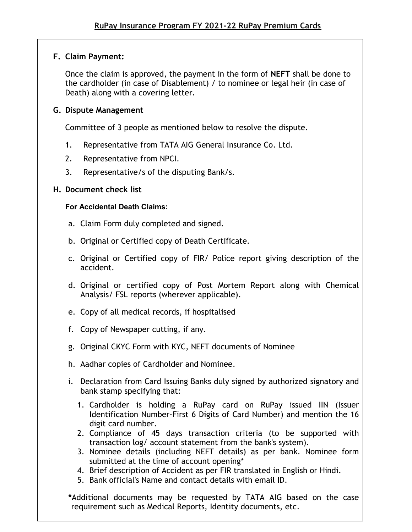## F. Claim Payment:

Once the claim is approved, the payment in the form of NEFT shall be done to the cardholder (in case of Disablement) / to nominee or legal heir (in case of Death) along with a covering letter.

## G. Dispute Management

Committee of 3 people as mentioned below to resolve the dispute.

- 1. Representative from TATA AIG General Insurance Co. Ltd.
- 2. Representative from NPCI.
- 3. Representative/s of the disputing Bank/s.

# H. Document check list

## For Accidental Death Claims:

- a. Claim Form duly completed and signed.
- b. Original or Certified copy of Death Certificate.
- c. Original or Certified copy of FIR/ Police report giving description of the accident.
- d. Original or certified copy of Post Mortem Report along with Chemical Analysis/ FSL reports (wherever applicable).
- e. Copy of all medical records, if hospitalised
- f. Copy of Newspaper cutting, if any.
- g. Original CKYC Form with KYC, NEFT documents of Nominee
- h. Aadhar copies of Cardholder and Nominee.
- i. Declaration from Card Issuing Banks duly signed by authorized signatory and bank stamp specifying that:
	- 1. Cardholder is holding a RuPay card on RuPay issued IIN (Issuer Identification Number-First 6 Digits of Card Number) and mention the 16 digit card number.
	- 2. Compliance of 45 days transaction criteria (to be supported with transaction log/ account statement from the bank's system).
	- 3. Nominee details (including NEFT details) as per bank. Nominee form submitted at the time of account opening\*
	- 4. Brief description of Accident as per FIR translated in English or Hindi.
	- 5. Bank official's Name and contact details with email ID.

\*Additional documents may be requested by TATA AIG based on the case requirement such as Medical Reports, Identity documents, etc.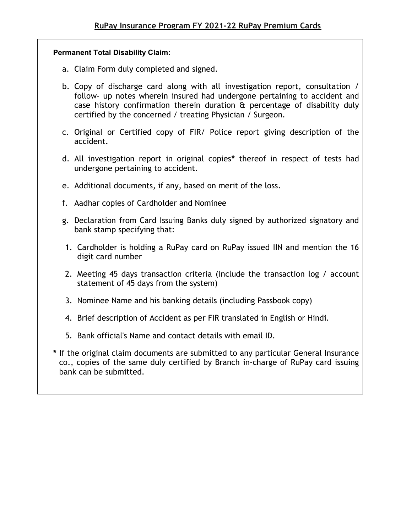#### Permanent Total Disability Claim:

- a. Claim Form duly completed and signed.
- b. Copy of discharge card along with all investigation report, consultation / follow- up notes wherein insured had undergone pertaining to accident and case history confirmation therein duration & percentage of disability duly certified by the concerned / treating Physician / Surgeon.
- c. Original or Certified copy of FIR/ Police report giving description of the accident.
- d. All investigation report in original copies\* thereof in respect of tests had undergone pertaining to accident.
- e. Additional documents, if any, based on merit of the loss.
- f. Aadhar copies of Cardholder and Nominee
- g. Declaration from Card Issuing Banks duly signed by authorized signatory and bank stamp specifying that:
- 1. Cardholder is holding a RuPay card on RuPay issued IIN and mention the 16 digit card number
- 2. Meeting 45 days transaction criteria (include the transaction log / account statement of 45 days from the system)
- 3. Nominee Name and his banking details (including Passbook copy)
- 4. Brief description of Accident as per FIR translated in English or Hindi.
- 5. Bank official's Name and contact details with email ID.
- \* If the original claim documents are submitted to any particular General Insurance co., copies of the same duly certified by Branch in-charge of RuPay card issuing bank can be submitted.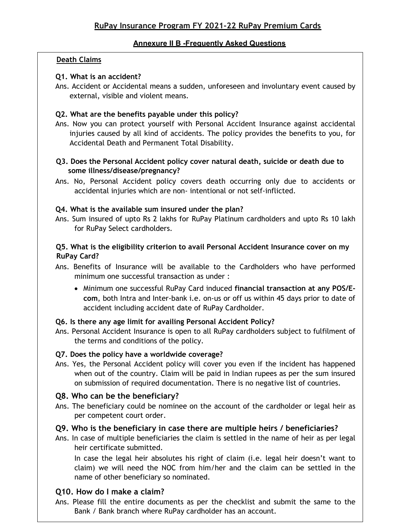#### Annexure II B -Frequently Asked Questions

#### Death Claims

#### Q1. What is an accident?

Ans. Accident or Accidental means a sudden, unforeseen and involuntary event caused by external, visible and violent means.

#### Q2. What are the benefits payable under this policy?

Ans. Now you can protect yourself with Personal Accident Insurance against accidental injuries caused by all kind of accidents. The policy provides the benefits to you, for Accidental Death and Permanent Total Disability.

#### Q3. Does the Personal Accident policy cover natural death, suicide or death due to some illness/disease/pregnancy?

Ans. No, Personal Accident policy covers death occurring only due to accidents or accidental injuries which are non- intentional or not self-inflicted.

#### Q4. What is the available sum insured under the plan?

Ans. Sum insured of upto Rs 2 lakhs for RuPay Platinum cardholders and upto Rs 10 lakh for RuPay Select cardholders.

#### Q5. What is the eligibility criterion to avail Personal Accident Insurance cover on my RuPay Card?

- Ans. Benefits of Insurance will be available to the Cardholders who have performed minimum one successful transaction as under :
	- Minimum one successful RuPay Card induced financial transaction at any POS/Ecom, both Intra and Inter-bank i.e. on-us or off us within 45 days prior to date of accident including accident date of RuPay Cardholder.

#### Q6. Is there any age limit for availing Personal Accident Policy?

Ans. Personal Accident Insurance is open to all RuPay cardholders subject to fulfilment of the terms and conditions of the policy.

#### Q7. Does the policy have a worldwide coverage?

Ans. Yes, the Personal Accident policy will cover you even if the incident has happened when out of the country. Claim will be paid in Indian rupees as per the sum insured on submission of required documentation. There is no negative list of countries.

#### Q8. Who can be the beneficiary?

Ans. The beneficiary could be nominee on the account of the cardholder or legal heir as per competent court order.

#### Q9. Who is the beneficiary in case there are multiple heirs / beneficiaries?

Ans. In case of multiple beneficiaries the claim is settled in the name of heir as per legal heir certificate submitted.

In case the legal heir absolutes his right of claim (i.e. legal heir doesn't want to claim) we will need the NOC from him/her and the claim can be settled in the name of other beneficiary so nominated.

#### Q10. How do I make a claim?

Ans. Please fill the entire documents as per the checklist and submit the same to the Bank / Bank branch where RuPay cardholder has an account.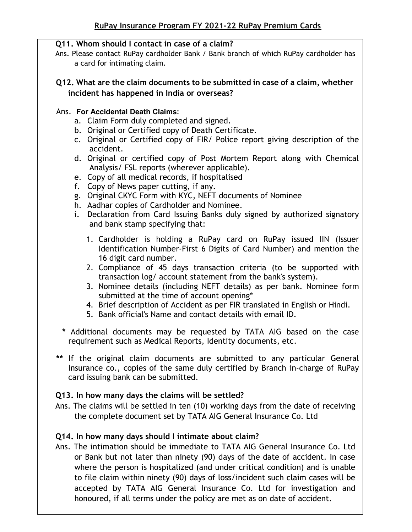### Q11. Whom should I contact in case of a claim?

Ans. Please contact RuPay cardholder Bank / Bank branch of which RuPay cardholder has a card for intimating claim.

#### Q12. What are the claim documents to be submitted in case of a claim, whether incident has happened in India or overseas?

#### Ans. For Accidental Death Claims:

- a. Claim Form duly completed and signed.
- b. Original or Certified copy of Death Certificate.
- c. Original or Certified copy of FIR/ Police report giving description of the accident.
- d. Original or certified copy of Post Mortem Report along with Chemical Analysis/ FSL reports (wherever applicable).
- e. Copy of all medical records, if hospitalised
- f. Copy of News paper cutting, if any.
- g. Original CKYC Form with KYC, NEFT documents of Nominee
- h. Aadhar copies of Cardholder and Nominee.
- i. Declaration from Card Issuing Banks duly signed by authorized signatory and bank stamp specifying that:
	- 1. Cardholder is holding a RuPay card on RuPay issued IIN (Issuer Identification Number-First 6 Digits of Card Number) and mention the 16 digit card number.
	- 2. Compliance of 45 days transaction criteria (to be supported with transaction log/ account statement from the bank's system).
	- 3. Nominee details (including NEFT details) as per bank. Nominee form submitted at the time of account opening\*
	- 4. Brief description of Accident as per FIR translated in English or Hindi.
	- 5. Bank official's Name and contact details with email ID.
- \* Additional documents may be requested by TATA AIG based on the case requirement such as Medical Reports, Identity documents, etc.
- \*\* If the original claim documents are submitted to any particular General Insurance co., copies of the same duly certified by Branch in-charge of RuPay card issuing bank can be submitted.

## Q13. In how many days the claims will be settled?

Ans. The claims will be settled in ten (10) working days from the date of receiving the complete document set by TATA AIG General Insurance Co. Ltd

## Q14. In how many days should I intimate about claim?

Ans. The intimation should be immediate to TATA AIG General Insurance Co. Ltd or Bank but not later than ninety (90) days of the date of accident. In case where the person is hospitalized (and under critical condition) and is unable to file claim within ninety (90) days of loss/incident such claim cases will be accepted by TATA AIG General Insurance Co. Ltd for investigation and honoured, if all terms under the policy are met as on date of accident.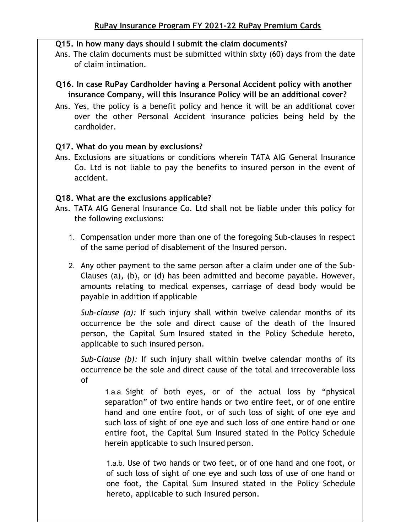### Q15. In how many days should I submit the claim documents?

Ans. The claim documents must be submitted within sixty (60) days from the date of claim intimation.

## Q16. In case RuPay Cardholder having a Personal Accident policy with another insurance Company, will this Insurance Policy will be an additional cover?

Ans. Yes, the policy is a benefit policy and hence it will be an additional cover over the other Personal Accident insurance policies being held by the cardholder.

## Q17. What do you mean by exclusions?

Ans. Exclusions are situations or conditions wherein TATA AIG General Insurance Co. Ltd is not liable to pay the benefits to insured person in the event of accident.

## Q18. What are the exclusions applicable?

- Ans. TATA AIG General Insurance Co. Ltd shall not be liable under this policy for the following exclusions:
	- 1. Compensation under more than one of the foregoing Sub-clauses in respect of the same period of disablement of the Insured person.
	- 2. Any other payment to the same person after a claim under one of the Sub-Clauses (a), (b), or (d) has been admitted and become payable. However, amounts relating to medical expenses, carriage of dead body would be payable in addition if applicable

Sub-clause  $(a)$ : If such injury shall within twelve calendar months of its occurrence be the sole and direct cause of the death of the Insured person, the Capital Sum Insured stated in the Policy Schedule hereto, applicable to such insured person.

Sub-Clause (b): If such injury shall within twelve calendar months of its occurrence be the sole and direct cause of the total and irrecoverable loss of

1.a.a. Sight of both eyes, or of the actual loss by "physical separation" of two entire hands or two entire feet, or of one entire hand and one entire foot, or of such loss of sight of one eye and such loss of sight of one eye and such loss of one entire hand or one entire foot, the Capital Sum Insured stated in the Policy Schedule herein applicable to such Insured person.

1.a.b. Use of two hands or two feet, or of one hand and one foot, or of such loss of sight of one eye and such loss of use of one hand or one foot, the Capital Sum Insured stated in the Policy Schedule hereto, applicable to such Insured person.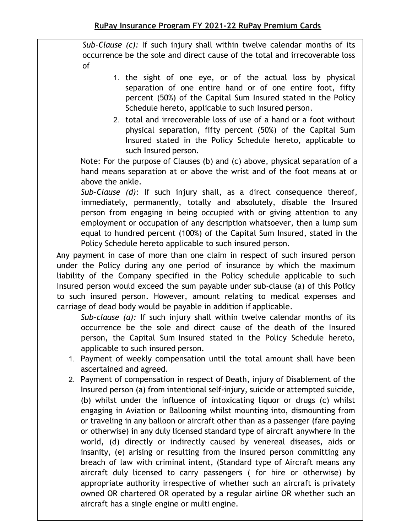Sub-Clause (c): If such injury shall within twelve calendar months of its occurrence be the sole and direct cause of the total and irrecoverable loss of

- 1. the sight of one eye, or of the actual loss by physical separation of one entire hand or of one entire foot, fifty percent (50%) of the Capital Sum Insured stated in the Policy Schedule hereto, applicable to such Insured person.
- 2. total and irrecoverable loss of use of a hand or a foot without physical separation, fifty percent (50%) of the Capital Sum Insured stated in the Policy Schedule hereto, applicable to such Insured person.

Note: For the purpose of Clauses (b) and (c) above, physical separation of a hand means separation at or above the wrist and of the foot means at or above the ankle.

Sub-Clause (d): If such injury shall, as a direct consequence thereof, immediately, permanently, totally and absolutely, disable the Insured person from engaging in being occupied with or giving attention to any employment or occupation of any description whatsoever, then a lump sum equal to hundred percent (100%) of the Capital Sum Insured, stated in the Policy Schedule hereto applicable to such insured person.

Any payment in case of more than one claim in respect of such insured person under the Policy during any one period of insurance by which the maximum liability of the Company specified in the Policy schedule applicable to such Insured person would exceed the sum payable under sub-clause (a) of this Policy to such insured person. However, amount relating to medical expenses and carriage of dead body would be payable in addition if applicable.

Sub-clause  $(a)$ : If such injury shall within twelve calendar months of its occurrence be the sole and direct cause of the death of the Insured person, the Capital Sum Insured stated in the Policy Schedule hereto, applicable to such insured person.

- 1. Payment of weekly compensation until the total amount shall have been ascertained and agreed.
- 2. Payment of compensation in respect of Death, injury of Disablement of the Insured person (a) from intentional self-injury, suicide or attempted suicide, (b) whilst under the influence of intoxicating liquor or drugs (c) whilst engaging in Aviation or Ballooning whilst mounting into, dismounting from or traveling in any balloon or aircraft other than as a passenger (fare paying or otherwise) in any duly licensed standard type of aircraft anywhere in the world, (d) directly or indirectly caused by venereal diseases, aids or insanity, (e) arising or resulting from the insured person committing any breach of law with criminal intent, (Standard type of Aircraft means any aircraft duly licensed to carry passengers ( for hire or otherwise) by appropriate authority irrespective of whether such an aircraft is privately owned OR chartered OR operated by a regular airline OR whether such an aircraft has a single engine or multi engine.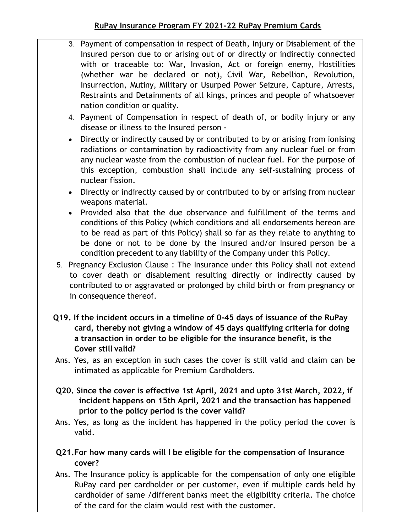- 3. Payment of compensation in respect of Death, Injury or Disablement of the Insured person due to or arising out of or directly or indirectly connected with or traceable to: War, Invasion, Act or foreign enemy, Hostilities (whether war be declared or not), Civil War, Rebellion, Revolution, Insurrection, Mutiny, Military or Usurped Power Seizure, Capture, Arrests, Restraints and Detainments of all kings, princes and people of whatsoever nation condition or quality.
- 4. Payment of Compensation in respect of death of, or bodily injury or any disease or illness to the Insured person -
- Directly or indirectly caused by or contributed to by or arising from ionising radiations or contamination by radioactivity from any nuclear fuel or from any nuclear waste from the combustion of nuclear fuel. For the purpose of this exception, combustion shall include any self-sustaining process of nuclear fission.
- Directly or indirectly caused by or contributed to by or arising from nuclear weapons material.
- Provided also that the due observance and fulfillment of the terms and conditions of this Policy (which conditions and all endorsements hereon are to be read as part of this Policy) shall so far as they relate to anything to be done or not to be done by the Insured and/or Insured person be a condition precedent to any liability of the Company under this Policy.
- 5. Pregnancy Exclusion Clause : The Insurance under this Policy shall not extend to cover death or disablement resulting directly or indirectly caused by contributed to or aggravated or prolonged by child birth or from pregnancy or in consequence thereof.
- Q19. If the incident occurs in a timeline of 0-45 days of issuance of the RuPay card, thereby not giving a window of 45 days qualifying criteria for doing a transaction in order to be eligible for the insurance benefit, is the Cover still valid?
- Ans. Yes, as an exception in such cases the cover is still valid and claim can be intimated as applicable for Premium Cardholders.
- Q20. Since the cover is effective 1st April, 2021 and upto 31st March, 2022, if incident happens on 15th April, 2021 and the transaction has happened prior to the policy period is the cover valid?
- Ans. Yes, as long as the incident has happened in the policy period the cover is valid.
- Q21.For how many cards will I be eligible for the compensation of Insurance cover?
- Ans. The Insurance policy is applicable for the compensation of only one eligible RuPay card per cardholder or per customer, even if multiple cards held by cardholder of same /different banks meet the eligibility criteria. The choice of the card for the claim would rest with the customer.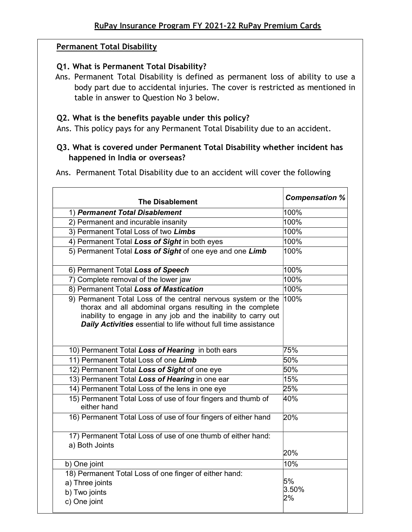### Permanent Total Disability

### Q1. What is Permanent Total Disability?

Ans. Permanent Total Disability is defined as permanent loss of ability to use a body part due to accidental injuries. The cover is restricted as mentioned in table in answer to Question No 3 below.

#### Q2. What is the benefits payable under this policy?

Ans. This policy pays for any Permanent Total Disability due to an accident.

# Q3. What is covered under Permanent Total Disability whether incident has happened in India or overseas?

Ans. Permanent Total Disability due to an accident will cover the following

| <b>The Disablement</b>                                                                                                                                                                                                                                               | <b>Compensation %</b> |
|----------------------------------------------------------------------------------------------------------------------------------------------------------------------------------------------------------------------------------------------------------------------|-----------------------|
| 1) Permanent Total Disablement                                                                                                                                                                                                                                       | 100%                  |
| 2) Permanent and incurable insanity                                                                                                                                                                                                                                  | 100%                  |
| 3) Permanent Total Loss of two Limbs                                                                                                                                                                                                                                 | 100%                  |
| 4) Permanent Total Loss of Sight in both eyes                                                                                                                                                                                                                        | 100%                  |
| 5) Permanent Total Loss of Sight of one eye and one Limb                                                                                                                                                                                                             | 100%                  |
| 6) Permanent Total Loss of Speech                                                                                                                                                                                                                                    | 100%                  |
| 7) Complete removal of the lower jaw                                                                                                                                                                                                                                 | 100%                  |
| 8) Permanent Total Loss of Mastication                                                                                                                                                                                                                               | 100%                  |
| 9) Permanent Total Loss of the central nervous system or the<br>thorax and all abdominal organs resulting in the complete<br>inability to engage in any job and the inability to carry out<br><b>Daily Activities</b> essential to life without full time assistance | 100%                  |
| 10) Permanent Total Loss of Hearing in both ears                                                                                                                                                                                                                     | 75%                   |
| 11) Permanent Total Loss of one Limb                                                                                                                                                                                                                                 | 50%                   |
| 12) Permanent Total Loss of Sight of one eye                                                                                                                                                                                                                         | 50%                   |
| 13) Permanent Total Loss of Hearing in one ear                                                                                                                                                                                                                       | 15%                   |
| 14) Permanent Total Loss of the lens in one eye                                                                                                                                                                                                                      | 25%                   |
| 15) Permanent Total Loss of use of four fingers and thumb of<br>either hand                                                                                                                                                                                          | 40%                   |
| 16) Permanent Total Loss of use of four fingers of either hand                                                                                                                                                                                                       | 20%                   |
| 17) Permanent Total Loss of use of one thumb of either hand:<br>a) Both Joints                                                                                                                                                                                       | 20%                   |
| b) One joint                                                                                                                                                                                                                                                         | 10%                   |
| 18) Permanent Total Loss of one finger of either hand:<br>a) Three joints<br>b) Two joints<br>c) One joint                                                                                                                                                           | 5%<br>3.50%<br>2%     |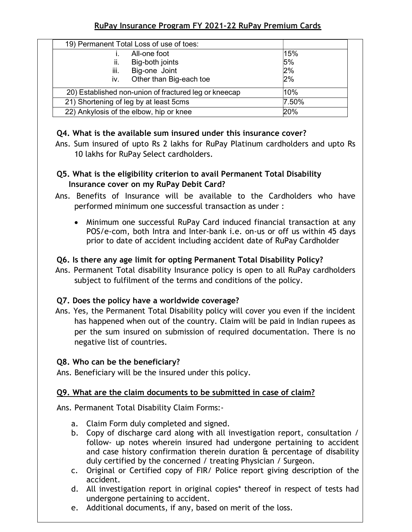| 19) Permanent Total Loss of use of toes:              |       |
|-------------------------------------------------------|-------|
| All-one foot                                          | 15%   |
| ii.<br>Big-both joints                                | 5%    |
| Big-one Joint<br>iii.                                 | 2%    |
| Other than Big-each toe<br>İV.                        | 2%    |
| 20) Established non-union of fractured leg or kneecap | 10%   |
| 21) Shortening of leg by at least 5cms                | 7.50% |
| 22) Ankylosis of the elbow, hip or knee               | 20%   |

## Q4. What is the available sum insured under this insurance cover?

Ans. Sum insured of upto Rs 2 lakhs for RuPay Platinum cardholders and upto Rs 10 lakhs for RuPay Select cardholders.

# Q5. What is the eligibility criterion to avail Permanent Total Disability Insurance cover on my RuPay Debit Card?

- Ans. Benefits of Insurance will be available to the Cardholders who have performed minimum one successful transaction as under :
	- Minimum one successful RuPay Card induced financial transaction at any POS/e-com, both Intra and Inter-bank i.e. on-us or off us within 45 days prior to date of accident including accident date of RuPay Cardholder

# Q6. Is there any age limit for opting Permanent Total Disability Policy?

Ans. Permanent Total disability Insurance policy is open to all RuPay cardholders subject to fulfilment of the terms and conditions of the policy.

# Q7. Does the policy have a worldwide coverage?

Ans. Yes, the Permanent Total Disability policy will cover you even if the incident has happened when out of the country. Claim will be paid in Indian rupees as per the sum insured on submission of required documentation. There is no negative list of countries.

# Q8. Who can be the beneficiary?

Ans. Beneficiary will be the insured under this policy.

# Q9. What are the claim documents to be submitted in case of claim?

Ans. Permanent Total Disability Claim Forms:-

- a. Claim Form duly completed and signed.
- b. Copy of discharge card along with all investigation report, consultation / follow- up notes wherein insured had undergone pertaining to accident and case history confirmation therein duration & percentage of disability duly certified by the concerned / treating Physician / Surgeon.
- c. Original or Certified copy of FIR/ Police report giving description of the accident.
- d. All investigation report in original copies\* thereof in respect of tests had undergone pertaining to accident.
- e. Additional documents, if any, based on merit of the loss.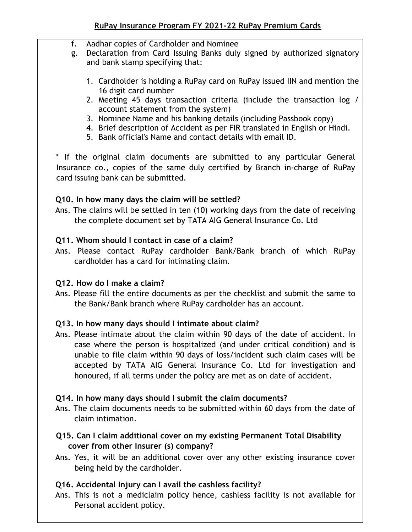- f. Aadhar copies of Cardholder and Nominee
- g. Declaration from Card Issuing Banks duly signed by authorized signatory and bank stamp specifying that:
	- 1. Cardholder is holding a RuPay card on RuPay issued IIN and mention the 16 digit card number
	- 2. Meeting 45 days transaction criteria (include the transaction log / account statement from the system)
	- 3. Nominee Name and his banking details (including Passbook copy)
	- 4. Brief description of Accident as per FIR translated in English or Hindi.
	- 5. Bank official's Name and contact details with email ID.

\* If the original claim documents are submitted to any particular General Insurance co., copies of the same duly certified by Branch in-charge of RuPay card issuing bank can be submitted.

## Q10. In how many days the claim will be settled?

Ans. The claims will be settled in ten (10) working days from the date of receiving the complete document set by TATA AIG General Insurance Co. Ltd

## Q11. Whom should I contact in case of a claim?

Ans. Please contact RuPay cardholder Bank/Bank branch of which RuPay cardholder has a card for intimating claim.

## Q12. How do I make a claim?

Ans. Please fill the entire documents as per the checklist and submit the same to the Bank/Bank branch where RuPay cardholder has an account.

## Q13. In how many days should I intimate about claim?

Ans. Please intimate about the claim within 90 days of the date of accident. In case where the person is hospitalized (and under critical condition) and is unable to file claim within 90 days of loss/incident such claim cases will be accepted by TATA AIG General Insurance Co. Ltd for investigation and honoured, if all terms under the policy are met as on date of accident.

## Q14. In how many days should I submit the claim documents?

Ans. The claim documents needs to be submitted within 60 days from the date of claim intimation.

# Q15. Can I claim additional cover on my existing Permanent Total Disability cover from other Insurer (s) company?

Ans. Yes, it will be an additional cover over any other existing insurance cover being held by the cardholder.

## Q16. Accidental Injury can I avail the cashless facility?

Ans. This is not a mediclaim policy hence, cashless facility is not available for Personal accident policy.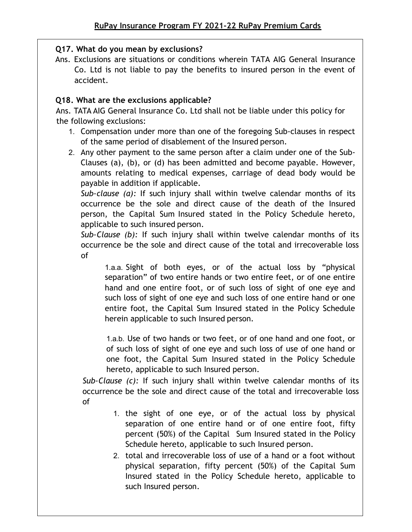# Q17. What do you mean by exclusions?

Ans. Exclusions are situations or conditions wherein TATA AIG General Insurance Co. Ltd is not liable to pay the benefits to insured person in the event of accident.

# Q18. What are the exclusions applicable?

Ans. TATA AIG General Insurance Co. Ltd shall not be liable under this policy for the following exclusions:

- 1. Compensation under more than one of the foregoing Sub-clauses in respect of the same period of disablement of the Insured person.
- 2. Any other payment to the same person after a claim under one of the Sub-Clauses (a), (b), or (d) has been admitted and become payable. However, amounts relating to medical expenses, carriage of dead body would be payable in addition if applicable.

Sub-clause  $(a)$ : If such injury shall within twelve calendar months of its occurrence be the sole and direct cause of the death of the Insured person, the Capital Sum Insured stated in the Policy Schedule hereto, applicable to such insured person.

Sub-Clause (b): If such injury shall within twelve calendar months of its occurrence be the sole and direct cause of the total and irrecoverable loss of

1.a.a. Sight of both eyes, or of the actual loss by "physical separation" of two entire hands or two entire feet, or of one entire hand and one entire foot, or of such loss of sight of one eye and such loss of sight of one eye and such loss of one entire hand or one entire foot, the Capital Sum Insured stated in the Policy Schedule herein applicable to such Insured person.

1.a.b. Use of two hands or two feet, or of one hand and one foot, or of such loss of sight of one eye and such loss of use of one hand or one foot, the Capital Sum Insured stated in the Policy Schedule hereto, applicable to such Insured person.

Sub-Clause (c): If such injury shall within twelve calendar months of its occurrence be the sole and direct cause of the total and irrecoverable loss of

- 1. the sight of one eye, or of the actual loss by physical separation of one entire hand or of one entire foot, fifty percent (50%) of the Capital Sum Insured stated in the Policy Schedule hereto, applicable to such Insured person.
- 2. total and irrecoverable loss of use of a hand or a foot without physical separation, fifty percent (50%) of the Capital Sum Insured stated in the Policy Schedule hereto, applicable to such Insured person.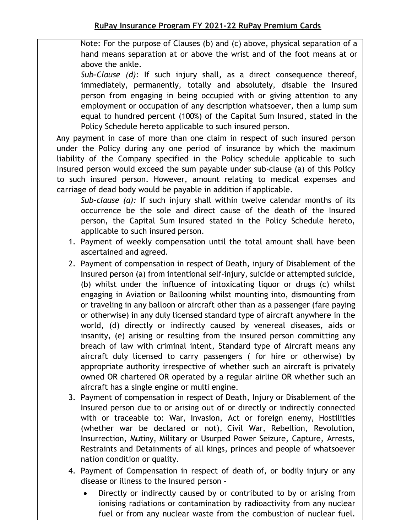Note: For the purpose of Clauses (b) and (c) above, physical separation of a hand means separation at or above the wrist and of the foot means at or above the ankle.

Sub-Clause (d): If such injury shall, as a direct consequence thereof, immediately, permanently, totally and absolutely, disable the Insured person from engaging in being occupied with or giving attention to any employment or occupation of any description whatsoever, then a lump sum equal to hundred percent (100%) of the Capital Sum Insured, stated in the Policy Schedule hereto applicable to such insured person.

Any payment in case of more than one claim in respect of such insured person under the Policy during any one period of insurance by which the maximum liability of the Company specified in the Policy schedule applicable to such Insured person would exceed the sum payable under sub-clause (a) of this Policy to such insured person. However, amount relating to medical expenses and carriage of dead body would be payable in addition if applicable.

Sub-clause (a): If such injury shall within twelve calendar months of its occurrence be the sole and direct cause of the death of the Insured person, the Capital Sum Insured stated in the Policy Schedule hereto, applicable to such insured person.

- 1. Payment of weekly compensation until the total amount shall have been ascertained and agreed.
- 2. Payment of compensation in respect of Death, injury of Disablement of the Insured person (a) from intentional self-injury, suicide or attempted suicide, (b) whilst under the influence of intoxicating liquor or drugs (c) whilst engaging in Aviation or Ballooning whilst mounting into, dismounting from or traveling in any balloon or aircraft other than as a passenger (fare paying or otherwise) in any duly licensed standard type of aircraft anywhere in the world, (d) directly or indirectly caused by venereal diseases, aids or insanity, (e) arising or resulting from the insured person committing any breach of law with criminal intent, Standard type of Aircraft means any aircraft duly licensed to carry passengers ( for hire or otherwise) by appropriate authority irrespective of whether such an aircraft is privately owned OR chartered OR operated by a regular airline OR whether such an aircraft has a single engine or multi engine.
- 3. Payment of compensation in respect of Death, Injury or Disablement of the Insured person due to or arising out of or directly or indirectly connected with or traceable to: War, Invasion, Act or foreign enemy, Hostilities (whether war be declared or not), Civil War, Rebellion, Revolution, Insurrection, Mutiny, Military or Usurped Power Seizure, Capture, Arrests, Restraints and Detainments of all kings, princes and people of whatsoever nation condition or quality.
- 4. Payment of Compensation in respect of death of, or bodily injury or any disease or illness to the Insured person -
	- Directly or indirectly caused by or contributed to by or arising from ionising radiations or contamination by radioactivity from any nuclear fuel or from any nuclear waste from the combustion of nuclear fuel.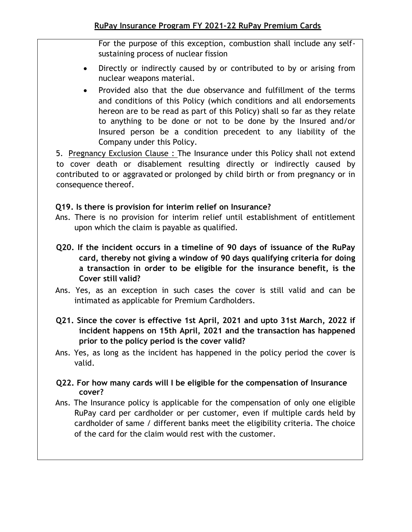For the purpose of this exception, combustion shall include any selfsustaining process of nuclear fission

- Directly or indirectly caused by or contributed to by or arising from nuclear weapons material.
- Provided also that the due observance and fulfillment of the terms and conditions of this Policy (which conditions and all endorsements hereon are to be read as part of this Policy) shall so far as they relate to anything to be done or not to be done by the Insured and/or Insured person be a condition precedent to any liability of the Company under this Policy.

5. Pregnancy Exclusion Clause : The Insurance under this Policy shall not extend to cover death or disablement resulting directly or indirectly caused by contributed to or aggravated or prolonged by child birth or from pregnancy or in consequence thereof.

# Q19. Is there is provision for interim relief on Insurance?

- Ans. There is no provision for interim relief until establishment of entitlement upon which the claim is payable as qualified.
- Q20. If the incident occurs in a timeline of 90 days of issuance of the RuPay card, thereby not giving a window of 90 days qualifying criteria for doing a transaction in order to be eligible for the insurance benefit, is the Cover still valid?
- Ans. Yes, as an exception in such cases the cover is still valid and can be intimated as applicable for Premium Cardholders.
- Q21. Since the cover is effective 1st April, 2021 and upto 31st March, 2022 if incident happens on 15th April, 2021 and the transaction has happened prior to the policy period is the cover valid?

Ans. Yes, as long as the incident has happened in the policy period the cover is valid.

- Q22. For how many cards will I be eligible for the compensation of Insurance cover?
- Ans. The Insurance policy is applicable for the compensation of only one eligible RuPay card per cardholder or per customer, even if multiple cards held by cardholder of same / different banks meet the eligibility criteria. The choice of the card for the claim would rest with the customer.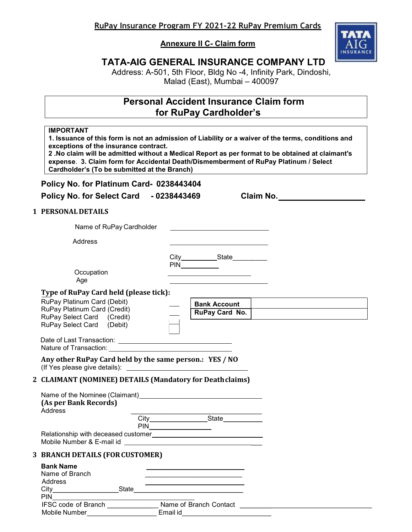Annexure II C- Claim form



# TATA-AIG GENERAL INSURANCE COMPANY LTD

Address: A-501, 5th Floor, Bldg No -4, Infinity Park, Dindoshi, Malad (East), Mumbai – 400097

# Personal Accident Insurance Claim form for RuPay Cardholder's

#### IMPORTANT

1. Issuance of this form is not an admission of Liability or a waiver of the terms, conditions and exceptions of the insurance contract. 2 .No claim will be admitted without a Medical Report as per format to be obtained at claimant's

expense. 3. Claim form for Accidental Death/Dismemberment of RuPay Platinum / Select Cardholder's (To be submitted at the Branch)

#### Policy No. for Platinum Card- 0238443404

Policy No. for Select Card - 0238443469 Claim No.

#### 1 PERSONAL DETAILS

| Name of RuPay Cardholder                                                                                                                                                                                                                                                                                                |                                       |
|-------------------------------------------------------------------------------------------------------------------------------------------------------------------------------------------------------------------------------------------------------------------------------------------------------------------------|---------------------------------------|
| Address                                                                                                                                                                                                                                                                                                                 |                                       |
| Occupation<br>Age                                                                                                                                                                                                                                                                                                       | City____________State___________      |
| Type of RuPay Card held (please tick):<br>RuPay Platinum Card (Debit)<br>RuPay Platinum Card (Credit)<br>RuPay Select Card (Credit)<br>RuPay Select Card (Debit)                                                                                                                                                        | <b>Bank Account</b><br>RuPay Card No. |
|                                                                                                                                                                                                                                                                                                                         |                                       |
| Any other RuPay Card held by the same person.: YES / NO                                                                                                                                                                                                                                                                 |                                       |
| 2 CLAIMANT (NOMINEE) DETAILS (Mandatory for Death claims)                                                                                                                                                                                                                                                               |                                       |
| Name of the Nominee (Claimant)<br><u>Laten and the substantiant</u> and the Nominee (Claimant)<br>(As per Bank Records)<br>Address                                                                                                                                                                                      |                                       |
|                                                                                                                                                                                                                                                                                                                         |                                       |
| 3 BRANCH DETAILS (FOR CUSTOMER)                                                                                                                                                                                                                                                                                         |                                       |
| <b>Bank Name</b><br>Name of Branch<br>Address<br>$City$ and $(x)$ and $(x)$ and $(x)$ and $(x)$ and $(x)$ and $(x)$ and $(x)$ and $(x)$ and $(x)$ and $(x)$ and $(x)$ and $(x)$ and $(x)$ and $(x)$ and $(x)$ and $(x)$ and $(x)$ and $(x)$ and $(x)$ and $(x)$ and $(x)$ and $(x)$ and $(x)$ and $(x)$ a<br><b>PIN</b> |                                       |

| .                          |                        |  |
|----------------------------|------------------------|--|
| <b>IFSC code of Branch</b> | Name of Branch Contact |  |
| Mobile Number              | <b>Email</b>           |  |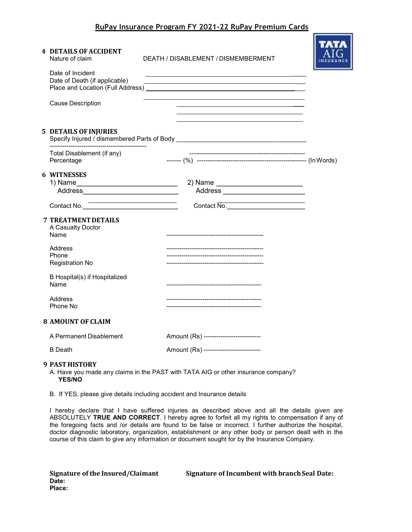**The Corporation** 

| <b>4 DETAILS OF ACCIDENT</b><br>Nature of claim                                                       | DEATH / DISABLEMENT / DISMEMBERMENT                                                                                                                                                                                           |  |
|-------------------------------------------------------------------------------------------------------|-------------------------------------------------------------------------------------------------------------------------------------------------------------------------------------------------------------------------------|--|
| Date of Incident<br>Date of Death (if applicable)                                                     | the control of the control of the control of the control of the control of the control of the control of the control of the control of the control of the control of the control of the control of the control of the control |  |
| <b>Cause Description</b>                                                                              |                                                                                                                                                                                                                               |  |
| <b>5 DETAILS OF INJURIES</b>                                                                          |                                                                                                                                                                                                                               |  |
| Total Disablement (if any)<br>Percentage                                                              |                                                                                                                                                                                                                               |  |
| <b>6 WITNESSES</b><br>1) Name______________________________<br>Address_______________________________ | 2) Name __________________________<br>Address ________________________                                                                                                                                                        |  |
| Contact No.                                                                                           | Contact No.                                                                                                                                                                                                                   |  |
| <b>7 TREATMENT DETAILS</b><br>A Casualty Doctor<br>Name                                               |                                                                                                                                                                                                                               |  |
| Address<br>Phone<br>Registration No                                                                   |                                                                                                                                                                                                                               |  |
| B Hospital(s) if Hospitalized<br>Name                                                                 |                                                                                                                                                                                                                               |  |
| Address<br>Phone No                                                                                   |                                                                                                                                                                                                                               |  |
| <b>8 AMOUNT OF CLAIM</b>                                                                              |                                                                                                                                                                                                                               |  |
| A Permanent Disablement                                                                               | Amount (Rs) --------------------------                                                                                                                                                                                        |  |
| <b>B</b> Death                                                                                        | Amount (Rs) ---------------------------                                                                                                                                                                                       |  |
| <b>9 PAST HISTORY</b>                                                                                 |                                                                                                                                                                                                                               |  |

A. Have you made any claims in the PAST with TATA AIG or other insurance company? YES/NO

B. If YES, please give details including accident and Insurance details

I hereby declare that I have suffered injuries as described above and all the details given are ABSOLUTELY TRUE AND CORRECT. I hereby agree to forfeit all my rights to compensation if any of the foregoing facts and /or details are found to be false or incorrect. I further authorize the hospital, doctor diagnostic laboratory, organization, establishment or any other body or person dealt with in the course of this claim to give any information or document sought for by the Insurance Company.

| Signature of the Insured/Claimant |
|-----------------------------------|
| Date:                             |
| Place:                            |

Signature of Incumbent with branch Seal Date: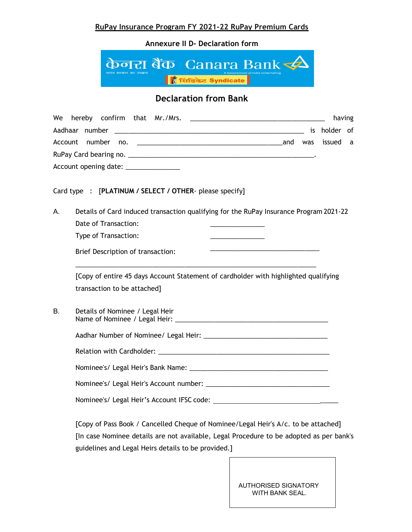Annexure II D- Declaration form



# Declaration from Bank

| We |                                                                                                                    |  | having |  |
|----|--------------------------------------------------------------------------------------------------------------------|--|--------|--|
|    |                                                                                                                    |  |        |  |
|    |                                                                                                                    |  |        |  |
|    |                                                                                                                    |  |        |  |
|    | Account opening date: _______________                                                                              |  |        |  |
|    | Card type : [PLATINUM / SELECT / OTHER- please specify]                                                            |  |        |  |
| А. | Details of Card induced transaction qualifying for the RuPay Insurance Program 2021-22                             |  |        |  |
|    | Date of Transaction:                                                                                               |  |        |  |
|    | Type of Transaction:<br>the control of the control of the control of                                               |  |        |  |
|    | <u> 1980 - Johann John Stone, Amerikaansk politiker (</u><br>Brief Description of transaction:                     |  |        |  |
|    | [Copy of entire 45 days Account Statement of cardholder with highlighted qualifying<br>transaction to be attached] |  |        |  |
| В. | Details of Nominee / Legal Heir                                                                                    |  |        |  |
|    |                                                                                                                    |  |        |  |
|    |                                                                                                                    |  |        |  |
|    |                                                                                                                    |  |        |  |
|    |                                                                                                                    |  |        |  |
|    |                                                                                                                    |  |        |  |
|    |                                                                                                                    |  |        |  |

[Copy of Pass Book / Cancelled Cheque of Nominee/Legal Heir's A/c. to be attached] [In case Nominee details are not available, Legal Procedure to be adopted as per bank's guidelines and Legal Heirs details to be provided.]

 $\overline{\phantom{a}}$ 

AUTHORISED SIGNATORY WITH BANK SEAL.